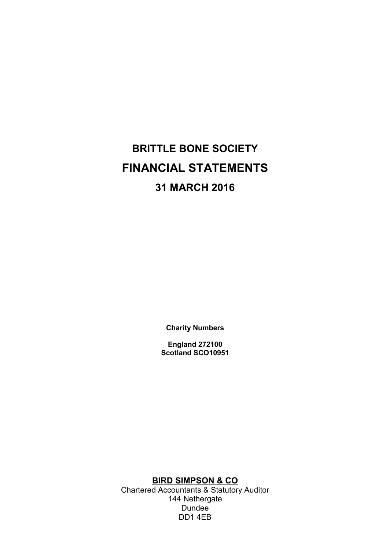# **BRITTLE BONE SOCIETY FINANCIAL STATEMENTS 31 MARCH 2016**

**Charity Numbers**

**England 272100 Scotland SCO10951**

**BIRD SIMPSON & CO**

Chartered Accountants & Statutory Auditor 144 Nethergate Dundee DD1 4EB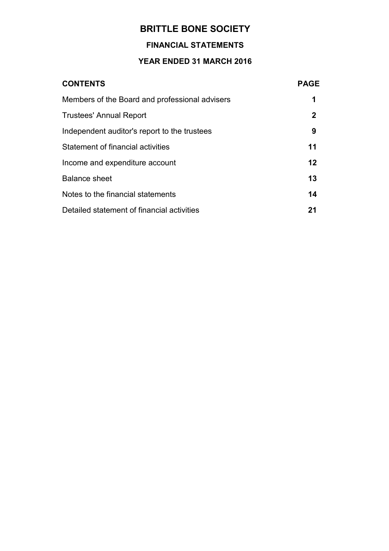## **FINANCIAL STATEMENTS**

| <b>CONTENTS</b>                                | <b>PAGE</b> |
|------------------------------------------------|-------------|
| Members of the Board and professional advisers | 1           |
| <b>Trustees' Annual Report</b>                 | 2           |
| Independent auditor's report to the trustees   | 9           |
| Statement of financial activities              | 11          |
| Income and expenditure account                 | 12          |
| <b>Balance sheet</b>                           | 13          |
| Notes to the financial statements              | 14          |
| Detailed statement of financial activities     | 21          |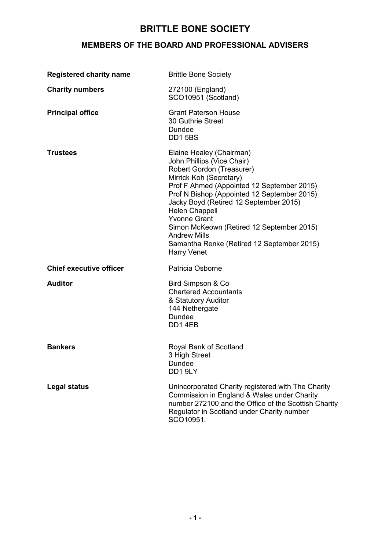## **MEMBERS OF THE BOARD AND PROFESSIONAL ADVISERS**

| <b>Registered charity name</b> | <b>Brittle Bone Society</b>                                                                                                                                                                                                                                                                                                                                                                                                                   |
|--------------------------------|-----------------------------------------------------------------------------------------------------------------------------------------------------------------------------------------------------------------------------------------------------------------------------------------------------------------------------------------------------------------------------------------------------------------------------------------------|
| <b>Charity numbers</b>         | 272100 (England)<br>SCO10951 (Scotland)                                                                                                                                                                                                                                                                                                                                                                                                       |
| <b>Principal office</b>        | <b>Grant Paterson House</b><br>30 Guthrie Street<br>Dundee<br><b>DD15BS</b>                                                                                                                                                                                                                                                                                                                                                                   |
| <b>Trustees</b>                | Elaine Healey (Chairman)<br>John Phillips (Vice Chair)<br>Robert Gordon (Treasurer)<br>Mirrick Koh (Secretary)<br>Prof F Ahmed (Appointed 12 September 2015)<br>Prof N Bishop (Appointed 12 September 2015)<br>Jacky Boyd (Retired 12 September 2015)<br><b>Helen Chappell</b><br><b>Yvonne Grant</b><br>Simon McKeown (Retired 12 September 2015)<br><b>Andrew Mills</b><br>Samantha Renke (Retired 12 September 2015)<br><b>Harry Venet</b> |
| <b>Chief executive officer</b> | Patricia Osborne                                                                                                                                                                                                                                                                                                                                                                                                                              |
| <b>Auditor</b>                 | Bird Simpson & Co<br><b>Chartered Accountants</b><br>& Statutory Auditor<br>144 Nethergate<br>Dundee<br>DD14EB                                                                                                                                                                                                                                                                                                                                |
| <b>Bankers</b>                 | Royal Bank of Scotland<br>3 High Street<br>Dundee<br>DD19LY                                                                                                                                                                                                                                                                                                                                                                                   |
| <b>Legal status</b>            | Unincorporated Charity registered with The Charity<br>Commission in England & Wales under Charity<br>number 272100 and the Office of the Scottish Charity<br>Regulator in Scotland under Charity number<br>SCO10951.                                                                                                                                                                                                                          |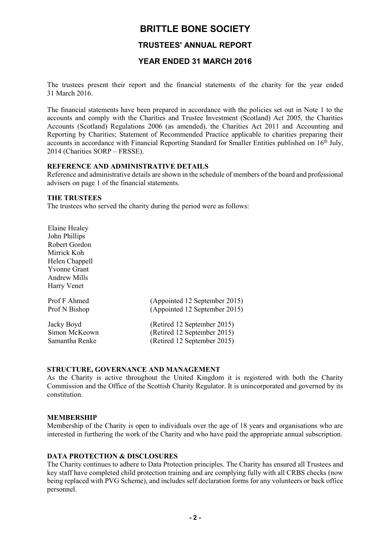### **TRUSTEES' ANNUAL REPORT**

## **YEAR ENDED 31 MARCH 2016**

The trustees present their report and the financial statements of the charity for the year ended 31 March 2016.

The financial statements have been prepared in accordance with the policies set out in Note 1 to the accounts and comply with the Charities and Trustee Investment (Scotland) Act 2005, the Charities Accounts (Scotland) Regulations 2006 (as amended), the Charities Act 2011 and Accounting and Reporting by Charities; Statement of Recommended Practice applicable to charities preparing their accounts in accordance with Financial Reporting Standard for Smaller Entities published on 16<sup>th</sup> July, 2014 (Charities SORP – FRSSE).

#### **REFERENCE AND ADMINISTRATIVE DETAILS**

Reference and administrative details are shown in the schedule of members of the board and professional advisers on page 1 of the financial statements.

#### **THE TRUSTEES**

The trustees who served the charity during the period were as follows:

| Elaine Healey<br>John Phillips<br>Robert Gordon<br>Mirrick Koh |                               |
|----------------------------------------------------------------|-------------------------------|
| Helen Chappell                                                 |                               |
| <b>Yvonne Grant</b>                                            |                               |
| Andrew Mills                                                   |                               |
| Harry Venet                                                    |                               |
| Prof F Ahmed                                                   | (Appointed 12 September 2015) |
| Prof N Bishop                                                  | (Appointed 12 September 2015) |
| Jacky Boyd                                                     | (Retired 12 September 2015)   |
| Simon McKeown                                                  | (Retired 12 September 2015)   |
| Samantha Renke                                                 | (Retired 12 September 2015)   |

#### **STRUCTURE, GOVERNANCE AND MANAGEMENT**

As the Charity is active throughout the United Kingdom it is registered with both the Charity Commission and the Office of the Scottish Charity Regulator. It is unincorporated and governed by its constitution.

#### **MEMBERSHIP**

Membership of the Charity is open to individuals over the age of 18 years and organisations who are interested in furthering the work of the Charity and who have paid the appropriate annual subscription.

### **DATA PROTECTION & DISCLOSURES**

The Charity continues to adhere to Data Protection principles. The Charity has ensured all Trustees and key staff have completed child protection training and are complying fully with all CRBS checks (now being replaced with PVG Scheme), and includes self declaration forms for any volunteers or back office personnel.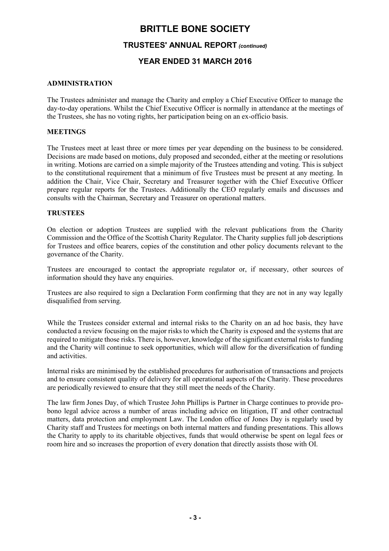### **TRUSTEES' ANNUAL REPORT** *(continued)*

### **YEAR ENDED 31 MARCH 2016**

### **ADMINISTRATION**

The Trustees administer and manage the Charity and employ a Chief Executive Officer to manage the day-to-day operations. Whilst the Chief Executive Officer is normally in attendance at the meetings of the Trustees, she has no voting rights, her participation being on an ex-officio basis.

#### **MEETINGS**

The Trustees meet at least three or more times per year depending on the business to be considered. Decisions are made based on motions, duly proposed and seconded, either at the meeting or resolutions in writing. Motions are carried on a simple majority of the Trustees attending and voting. This is subject to the constitutional requirement that a minimum of five Trustees must be present at any meeting. In addition the Chair, Vice Chair, Secretary and Treasurer together with the Chief Executive Officer prepare regular reports for the Trustees. Additionally the CEO regularly emails and discusses and consults with the Chairman, Secretary and Treasurer on operational matters.

#### **TRUSTEES**

On election or adoption Trustees are supplied with the relevant publications from the Charity Commission and the Office of the Scottish Charity Regulator. The Charity supplies full job descriptions for Trustees and office bearers, copies of the constitution and other policy documents relevant to the governance of the Charity.

Trustees are encouraged to contact the appropriate regulator or, if necessary, other sources of information should they have any enquiries.

Trustees are also required to sign a Declaration Form confirming that they are not in any way legally disqualified from serving.

While the Trustees consider external and internal risks to the Charity on an ad hoc basis, they have conducted a review focusing on the major risks to which the Charity is exposed and the systems that are required to mitigate those risks. There is, however, knowledge of the significant external risks to funding and the Charity will continue to seek opportunities, which will allow for the diversification of funding and activities.

Internal risks are minimised by the established procedures for authorisation of transactions and projects and to ensure consistent quality of delivery for all operational aspects of the Charity. These procedures are periodically reviewed to ensure that they still meet the needs of the Charity.

The law firm Jones Day, of which Trustee John Phillips is Partner in Charge continues to provide probono legal advice across a number of areas including advice on litigation, IT and other contractual matters, data protection and employment Law. The London office of Jones Day is regularly used by Charity staff and Trustees for meetings on both internal matters and funding presentations. This allows the Charity to apply to its charitable objectives, funds that would otherwise be spent on legal fees or room hire and so increases the proportion of every donation that directly assists those with OI.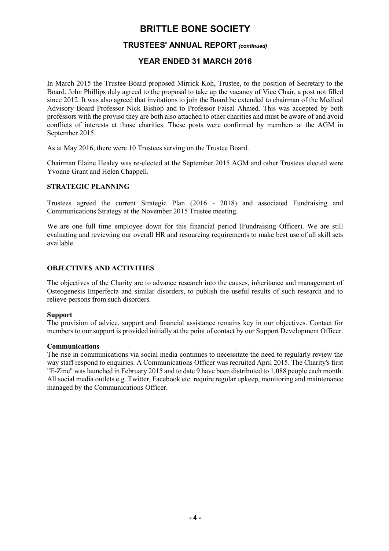### **TRUSTEES' ANNUAL REPORT** *(continued)*

## **YEAR ENDED 31 MARCH 2016**

In March 2015 the Trustee Board proposed Mirrick Koh, Trustee, to the position of Secretary to the Board. John Phillips duly agreed to the proposal to take up the vacancy of Vice Chair, a post not filled since 2012. It was also agreed that invitations to join the Board be extended to chairman of the Medical Advisory Board Professor Nick Bishop and to Professor Faisal Ahmed. This was accepted by both professors with the proviso they are both also attached to other charities and must be aware of and avoid conflicts of interests at those charities. These posts were confirmed by members at the AGM in September 2015.

As at May 2016, there were 10 Trustees serving on the Trustee Board.

Chairman Elaine Healey was re-elected at the September 2015 AGM and other Trustees elected were Yvonne Grant and Helen Chappell.

#### **STRATEGIC PLANNING**

Trustees agreed the current Strategic Plan (2016 - 2018) and associated Fundraising and Communications Strategy at the November 2015 Trustee meeting.

We are one full time employee down for this financial period (Fundraising Officer). We are still evaluating and reviewing our overall HR and resourcing requirements to make best use of all skill sets available.

### **OBJECTIVES AND ACTIVITIES**

The objectives of the Charity are to advance research into the causes, inheritance and management of Osteogenesis Imperfecta and similar disorders, to publish the useful results of such research and to relieve persons from such disorders.

#### **Support**

The provision of advice, support and financial assistance remains key in our objectives. Contact for members to our support is provided initially at the point of contact by our Support Development Officer.

#### **Communications**

The rise in communications via social media continues to necessitate the need to regularly review the way staff respond to enquiries. A Communications Officer was recruited April 2015. The Charity's first "E-Zine" was launched in February 2015 and to date 9 have been distributed to 1,088 people each month. All social media outlets e.g. Twitter, Facebook etc. require regular upkeep, monitoring and maintenance managed by the Communications Officer.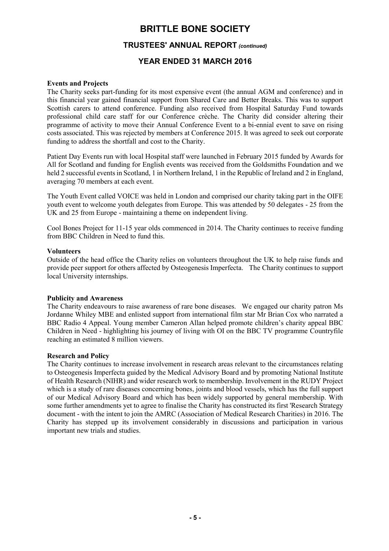### **TRUSTEES' ANNUAL REPORT** *(continued)*

### **YEAR ENDED 31 MARCH 2016**

#### **Events and Projects**

The Charity seeks part-funding for its most expensive event (the annual AGM and conference) and in this financial year gained financial support from Shared Care and Better Breaks. This was to support Scottish carers to attend conference. Funding also received from Hospital Saturday Fund towards professional child care staff for our Conference crèche. The Charity did consider altering their programme of activity to move their Annual Conference Event to a bi-ennial event to save on rising costs associated. This was rejected by members at Conference 2015. It was agreed to seek out corporate funding to address the shortfall and cost to the Charity.

Patient Day Events run with local Hospital staff were launched in February 2015 funded by Awards for All for Scotland and funding for English events was received from the Goldsmiths Foundation and we held 2 successful events in Scotland, 1 in Northern Ireland, 1 in the Republic of Ireland and 2 in England, averaging 70 members at each event.

The Youth Event called VOICE was held in London and comprised our charity taking part in the OIFE youth event to welcome youth delegates from Europe. This was attended by 50 delegates - 25 from the UK and 25 from Europe - maintaining a theme on independent living.

Cool Bones Project for 11-15 year olds commenced in 2014. The Charity continues to receive funding from BBC Children in Need to fund this.

#### **Volunteers**

Outside of the head office the Charity relies on volunteers throughout the UK to help raise funds and provide peer support for others affected by Osteogenesis Imperfecta. The Charity continues to support local University internships.

#### **Publicity and Awareness**

The Charity endeavours to raise awareness of rare bone diseases. We engaged our charity patron Ms Jordanne Whiley MBE and enlisted support from international film star Mr Brian Cox who narrated a BBC Radio 4 Appeal. Young member Cameron Allan helped promote children's charity appeal BBC Children in Need - highlighting his journey of living with OI on the BBC TV programme Countryfile reaching an estimated 8 million viewers.

#### **Research and Policy**

The Charity continues to increase involvement in research areas relevant to the circumstances relating to Osteogenesis Imperfecta guided by the Medical Advisory Board and by promoting National Institute of Health Research (NIHR) and wider research work to membership. Involvement in the RUDY Project which is a study of rare diseases concerning bones, joints and blood vessels, which has the full support of our Medical Advisory Board and which has been widely supported by general membership. With some further amendments yet to agree to finalise the Charity has constructed its first 'Research Strategy document - with the intent to join the AMRC (Association of Medical Research Charities) in 2016. The Charity has stepped up its involvement considerably in discussions and participation in various important new trials and studies.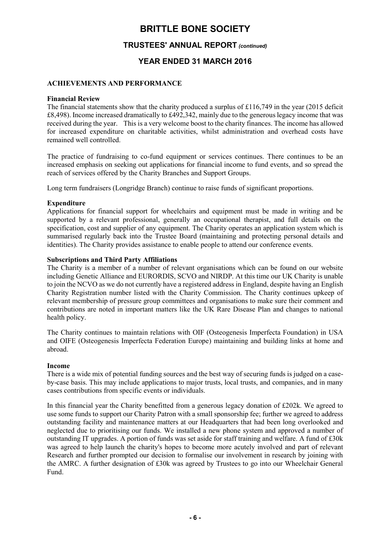### **TRUSTEES' ANNUAL REPORT** *(continued)*

### **YEAR ENDED 31 MARCH 2016**

### **ACHIEVEMENTS AND PERFORMANCE**

#### **Financial Review**

The financial statements show that the charity produced a surplus of £116,749 in the year (2015 deficit £8,498). Income increased dramatically to £492,342, mainly due to the generous legacy income that was received during the year. This is a very welcome boost to the charity finances. The income has allowed for increased expenditure on charitable activities, whilst administration and overhead costs have remained well controlled.

The practice of fundraising to co-fund equipment or services continues. There continues to be an increased emphasis on seeking out applications for financial income to fund events, and so spread the reach of services offered by the Charity Branches and Support Groups.

Long term fundraisers (Longridge Branch) continue to raise funds of significant proportions.

#### **Expenditure**

Applications for financial support for wheelchairs and equipment must be made in writing and be supported by a relevant professional, generally an occupational therapist, and full details on the specification, cost and supplier of any equipment. The Charity operates an application system which is summarised regularly back into the Trustee Board (maintaining and protecting personal details and identities). The Charity provides assistance to enable people to attend our conference events.

#### **Subscriptions and Third Party Affiliations**

The Charity is a member of a number of relevant organisations which can be found on our website including Genetic Alliance and EURORDIS, SCVO and NIRDP. At this time our UK Charity is unable to join the NCVO as we do not currently have a registered address in England, despite having an English Charity Registration number listed with the Charity Commission. The Charity continues upkeep of relevant membership of pressure group committees and organisations to make sure their comment and contributions are noted in important matters like the UK Rare Disease Plan and changes to national health policy.

The Charity continues to maintain relations with OIF (Osteogenesis Imperfecta Foundation) in USA and OIFE (Osteogenesis Imperfecta Federation Europe) maintaining and building links at home and abroad.

#### **Income**

There is a wide mix of potential funding sources and the best way of securing funds is judged on a caseby-case basis. This may include applications to major trusts, local trusts, and companies, and in many cases contributions from specific events or individuals.

In this financial year the Charity benefitted from a generous legacy donation of £202k. We agreed to use some funds to support our Charity Patron with a small sponsorship fee; further we agreed to address outstanding facility and maintenance matters at our Headquarters that had been long overlooked and neglected due to prioritising our funds. We installed a new phone system and approved a number of outstanding IT upgrades. A portion of funds was set aside for staff training and welfare. A fund of £30k was agreed to help launch the charity's hopes to become more acutely involved and part of relevant Research and further prompted our decision to formalise our involvement in research by joining with the AMRC. A further designation of £30k was agreed by Trustees to go into our Wheelchair General Fund.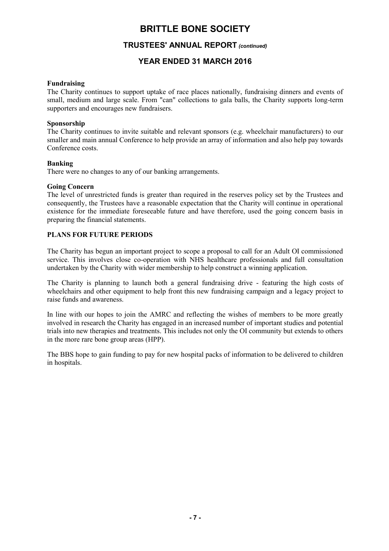### **TRUSTEES' ANNUAL REPORT** *(continued)*

### **YEAR ENDED 31 MARCH 2016**

#### **Fundraising**

The Charity continues to support uptake of race places nationally, fundraising dinners and events of small, medium and large scale. From "can" collections to gala balls, the Charity supports long-term supporters and encourages new fundraisers.

#### **Sponsorship**

The Charity continues to invite suitable and relevant sponsors (e.g. wheelchair manufacturers) to our smaller and main annual Conference to help provide an array of information and also help pay towards Conference costs.

#### **Banking**

There were no changes to any of our banking arrangements.

#### **Going Concern**

The level of unrestricted funds is greater than required in the reserves policy set by the Trustees and consequently, the Trustees have a reasonable expectation that the Charity will continue in operational existence for the immediate foreseeable future and have therefore, used the going concern basis in preparing the financial statements.

#### **PLANS FOR FUTURE PERIODS**

The Charity has begun an important project to scope a proposal to call for an Adult OI commissioned service. This involves close co-operation with NHS healthcare professionals and full consultation undertaken by the Charity with wider membership to help construct a winning application.

The Charity is planning to launch both a general fundraising drive - featuring the high costs of wheelchairs and other equipment to help front this new fundraising campaign and a legacy project to raise funds and awareness.

In line with our hopes to join the AMRC and reflecting the wishes of members to be more greatly involved in research the Charity has engaged in an increased number of important studies and potential trials into new therapies and treatments. This includes not only the OI community but extends to others in the more rare bone group areas (HPP).

The BBS hope to gain funding to pay for new hospital packs of information to be delivered to children in hospitals.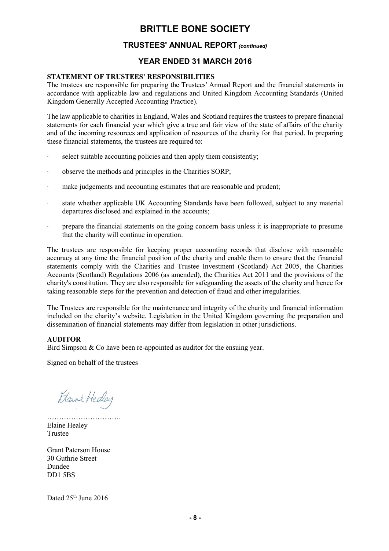### **TRUSTEES' ANNUAL REPORT** *(continued)*

### **YEAR ENDED 31 MARCH 2016**

### **STATEMENT OF TRUSTEES' RESPONSIBILITIES**

The trustees are responsible for preparing the Trustees' Annual Report and the financial statements in accordance with applicable law and regulations and United Kingdom Accounting Standards (United Kingdom Generally Accepted Accounting Practice).

The law applicable to charities in England, Wales and Scotland requires the trustees to prepare financial statements for each financial year which give a true and fair view of the state of affairs of the charity and of the incoming resources and application of resources of the charity for that period. In preparing these financial statements, the trustees are required to:

- select suitable accounting policies and then apply them consistently;
- · observe the methods and principles in the Charities SORP;
- · make judgements and accounting estimates that are reasonable and prudent;
- · state whether applicable UK Accounting Standards have been followed, subject to any material departures disclosed and explained in the accounts;
- · prepare the financial statements on the going concern basis unless it is inappropriate to presume that the charity will continue in operation.

The trustees are responsible for keeping proper accounting records that disclose with reasonable accuracy at any time the financial position of the charity and enable them to ensure that the financial statements comply with the Charities and Trustee Investment (Scotland) Act 2005, the Charities Accounts (Scotland) Regulations 2006 (as amended), the Charities Act 2011 and the provisions of the charity's constitution. They are also responsible for safeguarding the assets of the charity and hence for taking reasonable steps for the prevention and detection of fraud and other irregularities.

The Trustees are responsible for the maintenance and integrity of the charity and financial information included on the charity's website. Legislation in the United Kingdom governing the preparation and dissemination of financial statements may differ from legislation in other jurisdictions.

#### **AUDITOR**

Bird Simpson & Co have been re-appointed as auditor for the ensuing year.

Signed on behalf of the trustees

Etami Healey

…………………………………… Elaine Healey Trustee

Grant Paterson House 30 Guthrie Street Dundee DD1 5BS

Dated 25<sup>th</sup> June 2016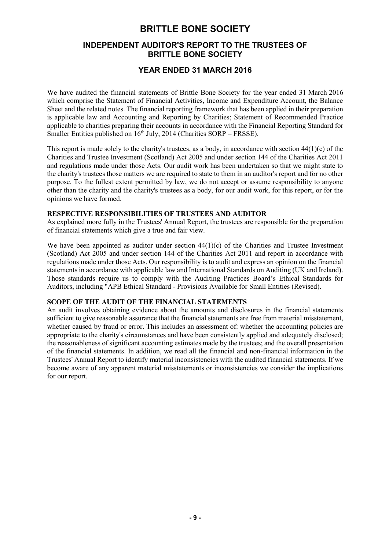### **INDEPENDENT AUDITOR'S REPORT TO THE TRUSTEES OF BRITTLE BONE SOCIETY**

### **YEAR ENDED 31 MARCH 2016**

We have audited the financial statements of Brittle Bone Society for the year ended 31 March 2016 which comprise the Statement of Financial Activities, Income and Expenditure Account, the Balance Sheet and the related notes. The financial reporting framework that has been applied in their preparation is applicable law and Accounting and Reporting by Charities; Statement of Recommended Practice applicable to charities preparing their accounts in accordance with the Financial Reporting Standard for Smaller Entities published on  $16<sup>th</sup>$  July, 2014 (Charities SORP – FRSSE).

This report is made solely to the charity's trustees, as a body, in accordance with section  $44(1)(c)$  of the Charities and Trustee Investment (Scotland) Act 2005 and under section 144 of the Charities Act 2011 and regulations made under those Acts. Our audit work has been undertaken so that we might state to the charity's trustees those matters we are required to state to them in an auditor's report and for no other purpose. To the fullest extent permitted by law, we do not accept or assume responsibility to anyone other than the charity and the charity's trustees as a body, for our audit work, for this report, or for the opinions we have formed.

#### **RESPECTIVE RESPONSIBILITIES OF TRUSTEES AND AUDITOR**

As explained more fully in the Trustees' Annual Report, the trustees are responsible for the preparation of financial statements which give a true and fair view.

We have been appointed as auditor under section  $44(1)(c)$  of the Charities and Trustee Investment (Scotland) Act 2005 and under section 144 of the Charities Act 2011 and report in accordance with regulations made under those Acts. Our responsibility is to audit and express an opinion on the financial statements in accordance with applicable law and International Standards on Auditing (UK and Ireland). Those standards require us to comply with the Auditing Practices Board's Ethical Standards for Auditors, including "APB Ethical Standard - Provisions Available for Small Entities (Revised).

### **SCOPE OF THE AUDIT OF THE FINANCIAL STATEMENTS**

An audit involves obtaining evidence about the amounts and disclosures in the financial statements sufficient to give reasonable assurance that the financial statements are free from material misstatement, whether caused by fraud or error. This includes an assessment of: whether the accounting policies are appropriate to the charity's circumstances and have been consistently applied and adequately disclosed; the reasonableness of significant accounting estimates made by the trustees; and the overall presentation of the financial statements. In addition, we read all the financial and non-financial information in the Trustees' Annual Report to identify material inconsistencies with the audited financial statements. If we become aware of any apparent material misstatements or inconsistencies we consider the implications for our report.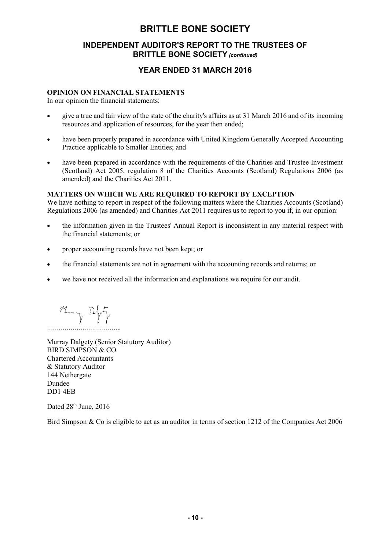### **INDEPENDENT AUDITOR'S REPORT TO THE TRUSTEES OF BRITTLE BONE SOCIETY** *(continued)*

## **YEAR ENDED 31 MARCH 2016**

### **OPINION ON FINANCIAL STATEMENTS**

In our opinion the financial statements:

- ightarrow give a true and fair view of the state of the charity's affairs as at 31 March 2016 and of its incoming resources and application of resources, for the year then ended;
- have been properly prepared in accordance with United Kingdom Generally Accepted Accounting Practice applicable to Smaller Entities; and
- have been prepared in accordance with the requirements of the Charities and Trustee Investment (Scotland) Act 2005, regulation 8 of the Charities Accounts (Scotland) Regulations 2006 (as amended) and the Charities Act 2011.

#### **MATTERS ON WHICH WE ARE REQUIRED TO REPORT BY EXCEPTION**

We have nothing to report in respect of the following matters where the Charities Accounts (Scotland) Regulations 2006 (as amended) and Charities Act 2011 requires us to report to you if, in our opinion:

- x the information given in the Trustees' Annual Report is inconsistent in any material respect with the financial statements; or
- proper accounting records have not been kept; or
- the financial statements are not in agreement with the accounting records and returns; or
- we have not received all the information and explanations we require for our audit.

 $\sim \gamma \frac{dV}{dV}$ ………………………………..

Murray Dalgety (Senior Statutory Auditor) BIRD SIMPSON & CO Chartered Accountants & Statutory Auditor 144 Nethergate Dundee DD1 4EB

Dated 28<sup>th</sup> June, 2016

Bird Simpson & Co is eligible to act as an auditor in terms of section 1212 of the Companies Act 2006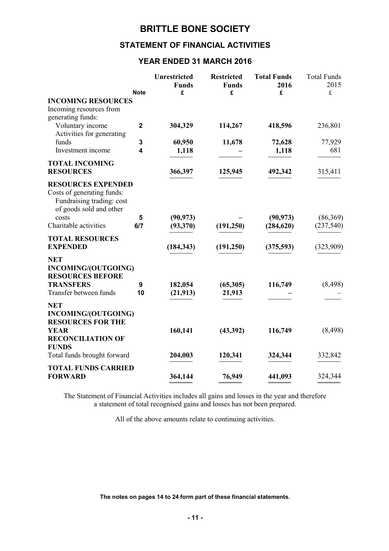## **STATEMENT OF FINANCIAL ACTIVITIES**

### **YEAR ENDED 31 MARCH 2016**

|                                                                                                                          | <b>Note</b> | <b>Unrestricted</b><br><b>Funds</b><br>£ | <b>Restricted</b><br><b>Funds</b><br>£ | <b>Total Funds</b><br>2016<br>£ | <b>Total Funds</b><br>2015<br>$\mathbf f$ |
|--------------------------------------------------------------------------------------------------------------------------|-------------|------------------------------------------|----------------------------------------|---------------------------------|-------------------------------------------|
| <b>INCOMING RESOURCES</b><br>Incoming resources from<br>generating funds:                                                |             |                                          |                                        |                                 |                                           |
| Voluntary income<br>Activities for generating                                                                            | $\mathbf 2$ | 304,329                                  | 114,267                                | 418,596                         | 236,801                                   |
| funds                                                                                                                    | 3           | 60,950                                   | 11,678                                 | 72,628                          | 77,929                                    |
| Investment income                                                                                                        | 4           | 1,118                                    |                                        | 1,118                           | 681                                       |
| <b>TOTAL INCOMING</b>                                                                                                    |             |                                          |                                        |                                 |                                           |
| <b>RESOURCES</b>                                                                                                         |             | 366,397                                  | 125,945                                | 492,342                         | 315,411                                   |
| <b>RESOURCES EXPENDED</b><br>Costs of generating funds:<br>Fundraising trading: cost<br>of goods sold and other<br>costs | 5           | (90, 973)                                |                                        | (90, 973)                       | (86,369)                                  |
| Charitable activities                                                                                                    | 6/7         | (93, 370)                                | (191,250)                              | (284, 620)                      | (237, 540)                                |
| <b>TOTAL RESOURCES</b><br><b>EXPENDED</b>                                                                                |             | (184, 343)                               | (191,250)                              | (375,593)                       | (323,909)                                 |
| <b>NET</b><br>INCOMING/(OUTGOING)<br><b>RESOURCES BEFORE</b><br><b>TRANSFERS</b><br>Transfer between funds               | 9<br>10     | 182,054<br>(21, 913)                     | (65,305)<br>21,913                     | 116,749                         | (8, 498)                                  |
| <b>NET</b><br>INCOMING/(OUTGOING)<br><b>RESOURCES FOR THE</b>                                                            |             |                                          |                                        |                                 |                                           |
| <b>YEAR</b><br><b>RECONCILIATION OF</b><br><b>FUNDS</b>                                                                  |             | 160,141                                  | (43,392)                               | 116,749                         | (8, 498)                                  |
| Total funds brought forward                                                                                              |             | 204,003                                  | 120,341                                | 324,344                         | 332,842                                   |
| <b>TOTAL FUNDS CARRIED</b><br><b>FORWARD</b>                                                                             |             | 364,144                                  | 76,949                                 | 441,093                         | 324,344                                   |

The Statement of Financial Activities includes all gains and losses in the year and therefore a statement of total recognised gains and losses has not been prepared.

All of the above amounts relate to continuing activities.

**The notes on pages 14 to 24 form part of these financial statements.**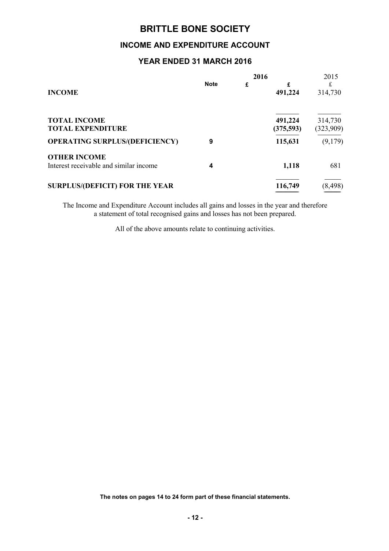## **INCOME AND EXPENDITURE ACCOUNT**

## **YEAR ENDED 31 MARCH 2016**

|                                                               | 2016        |   |                      | 2015                 |  |
|---------------------------------------------------------------|-------------|---|----------------------|----------------------|--|
| <b>INCOME</b>                                                 | <b>Note</b> | £ | £<br>491,224         | £<br>314,730         |  |
| <b>TOTAL INCOME</b><br><b>TOTAL EXPENDITURE</b>               |             |   | 491,224<br>(375,593) | 314,730<br>(323,909) |  |
| <b>OPERATING SURPLUS/(DEFICIENCY)</b>                         | 9           |   | 115,631              | (9,179)              |  |
| <b>OTHER INCOME</b><br>Interest receivable and similar income | 4           |   | 1,118                | 681                  |  |
| <b>SURPLUS/(DEFICIT) FOR THE YEAR</b>                         |             |   | 116,749              | (8, 498)             |  |

The Income and Expenditure Account includes all gains and losses in the year and therefore a statement of total recognised gains and losses has not been prepared.

All of the above amounts relate to continuing activities.

**The notes on pages 14 to 24 form part of these financial statements.**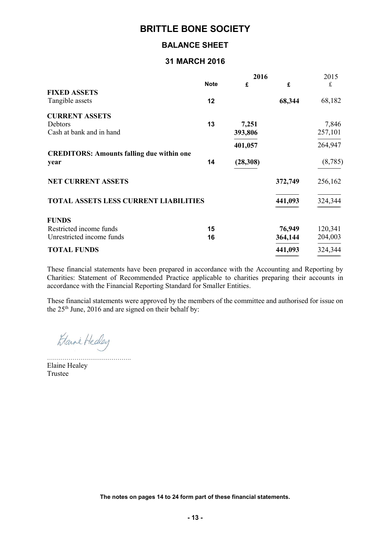### **BALANCE SHEET**

### **31 MARCH 2016**

|                                                  | 2016        |          |                    | 2015    |  |
|--------------------------------------------------|-------------|----------|--------------------|---------|--|
|                                                  | <b>Note</b> | £        | $\pmb{\mathbf{f}}$ | £       |  |
| <b>FIXED ASSETS</b>                              |             |          |                    |         |  |
| Tangible assets                                  | 12          |          | 68,344             | 68,182  |  |
| <b>CURRENT ASSETS</b>                            |             |          |                    |         |  |
| Debtors                                          | 13          | 7,251    |                    | 7,846   |  |
| Cash at bank and in hand                         |             | 393,806  |                    | 257,101 |  |
|                                                  |             | 401,057  |                    | 264,947 |  |
| <b>CREDITORS: Amounts falling due within one</b> |             |          |                    |         |  |
| year                                             | 14          | (28,308) |                    | (8,785) |  |
| <b>NET CURRENT ASSETS</b>                        |             |          | 372,749            | 256,162 |  |
|                                                  |             |          |                    |         |  |
| <b>TOTAL ASSETS LESS CURRENT LIABILITIES</b>     |             |          | 441,093            | 324,344 |  |
| <b>FUNDS</b>                                     |             |          |                    |         |  |
| Restricted income funds                          | 15          |          | 76,949             | 120,341 |  |
| Unrestricted income funds                        | 16          |          | 364,144            | 204,003 |  |
| <b>TOTAL FUNDS</b>                               |             |          | 441,093            | 324,344 |  |
|                                                  |             |          |                    |         |  |

These financial statements have been prepared in accordance with the Accounting and Reporting by Charities: Statement of Recommended Practice applicable to charities preparing their accounts in accordance with the Financial Reporting Standard for Smaller Entities.

These financial statements were approved by the members of the committee and authorised for issue on the  $25<sup>th</sup>$  June, 2016 and are signed on their behalf by:

Etani Heday

………………………… Elaine Healey Trustee

**The notes on pages 14 to 24 form part of these financial statements.**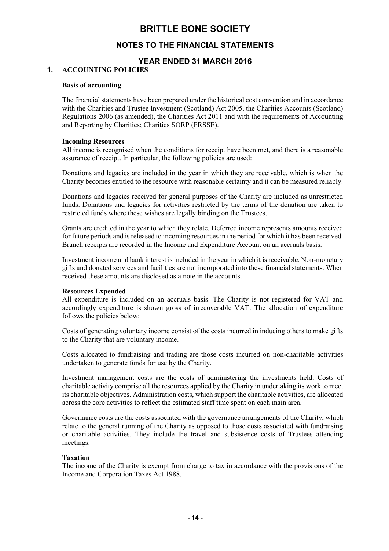## **NOTES TO THE FINANCIAL STATEMENTS**

## **YEAR ENDED 31 MARCH 2016**

### **1. ACCOUNTING POLICIES**

#### **Basis of accounting**

The financial statements have been prepared under the historical cost convention and in accordance with the Charities and Trustee Investment (Scotland) Act 2005, the Charities Accounts (Scotland) Regulations 2006 (as amended), the Charities Act 2011 and with the requirements of Accounting and Reporting by Charities; Charities SORP (FRSSE).

#### **Incoming Resources**

All income is recognised when the conditions for receipt have been met, and there is a reasonable assurance of receipt. In particular, the following policies are used:

Donations and legacies are included in the year in which they are receivable, which is when the Charity becomes entitled to the resource with reasonable certainty and it can be measured reliably.

Donations and legacies received for general purposes of the Charity are included as unrestricted funds. Donations and legacies for activities restricted by the terms of the donation are taken to restricted funds where these wishes are legally binding on the Trustees.

Grants are credited in the year to which they relate. Deferred income represents amounts received for future periods and is released to incoming resources in the period for which it has been received. Branch receipts are recorded in the Income and Expenditure Account on an accruals basis.

Investment income and bank interest is included in the year in which it is receivable. Non-monetary gifts and donated services and facilities are not incorporated into these financial statements. When received these amounts are disclosed as a note in the accounts.

#### **Resources Expended**

All expenditure is included on an accruals basis. The Charity is not registered for VAT and accordingly expenditure is shown gross of irrecoverable VAT. The allocation of expenditure follows the policies below:

Costs of generating voluntary income consist of the costs incurred in inducing others to make gifts to the Charity that are voluntary income.

Costs allocated to fundraising and trading are those costs incurred on non-charitable activities undertaken to generate funds for use by the Charity.

Investment management costs are the costs of administering the investments held. Costs of charitable activity comprise all the resources applied by the Charity in undertaking its work to meet its charitable objectives. Administration costs, which support the charitable activities, are allocated across the core activities to reflect the estimated staff time spent on each main area.

Governance costs are the costs associated with the governance arrangements of the Charity, which relate to the general running of the Charity as opposed to those costs associated with fundraising or charitable activities. They include the travel and subsistence costs of Trustees attending meetings.

#### **Taxation**

The income of the Charity is exempt from charge to tax in accordance with the provisions of the Income and Corporation Taxes Act 1988.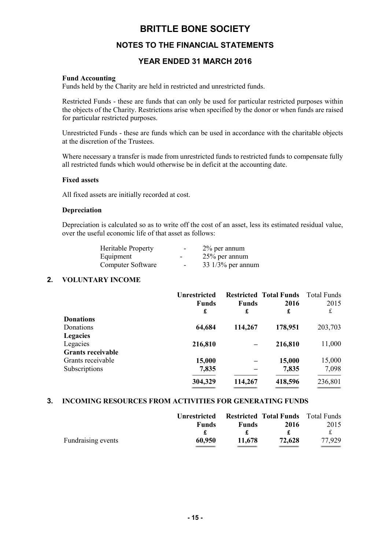## **NOTES TO THE FINANCIAL STATEMENTS**

## **YEAR ENDED 31 MARCH 2016**

#### **Fund Accounting**

Funds held by the Charity are held in restricted and unrestricted funds.

Restricted Funds - these are funds that can only be used for particular restricted purposes within the objects of the Charity. Restrictions arise when specified by the donor or when funds are raised for particular restricted purposes.

Unrestricted Funds - these are funds which can be used in accordance with the charitable objects at the discretion of the Trustees.

Where necessary a transfer is made from unrestricted funds to restricted funds to compensate fully all restricted funds which would otherwise be in deficit at the accounting date.

#### **Fixed assets**

All fixed assets are initially recorded at cost.

#### **Depreciation**

Depreciation is calculated so as to write off the cost of an asset, less its estimated residual value, over the useful economic life of that asset as follows:

| Heritable Property | ۰                        | $2\%$ per annum      |
|--------------------|--------------------------|----------------------|
| Equipment          | -                        | $25\%$ per annum     |
| Computer Software  | $\overline{\phantom{0}}$ | 33 $1/3\%$ per annum |

### **2. VOLUNTARY INCOME**

|                          | <b>Unrestricted</b> |              | <b>Restricted Total Funds</b> | Total Funds |
|--------------------------|---------------------|--------------|-------------------------------|-------------|
|                          | Funds               | <b>Funds</b> | 2016                          | 2015        |
|                          | £                   | £            | £                             | £           |
| <b>Donations</b>         |                     |              |                               |             |
| Donations                | 64,684              | 114,267      | 178,951                       | 203,703     |
| <b>Legacies</b>          |                     |              |                               |             |
| Legacies                 | 216,810             |              | 216,810                       | 11,000      |
| <b>Grants receivable</b> |                     |              |                               |             |
| Grants receivable        | 15,000              |              | 15,000                        | 15,000      |
| Subscriptions            | 7,835               |              | 7,835                         | 7,098       |
|                          | 304,329             | 114,267      | 418,596                       | 236,801     |

#### **3. INCOMING RESOURCES FROM ACTIVITIES FOR GENERATING FUNDS**

|                    | Unrestricted |        | <b>Restricted Total Funds</b> Total Funds |        |
|--------------------|--------------|--------|-------------------------------------------|--------|
|                    | Funds        | Funds  | 2016                                      | 2015   |
|                    |              |        |                                           |        |
| Fundraising events | 60.950       | 11,678 | 72,628                                    | 77,929 |
|                    |              |        |                                           |        |

===================================== ===================================== ===================================== =====================================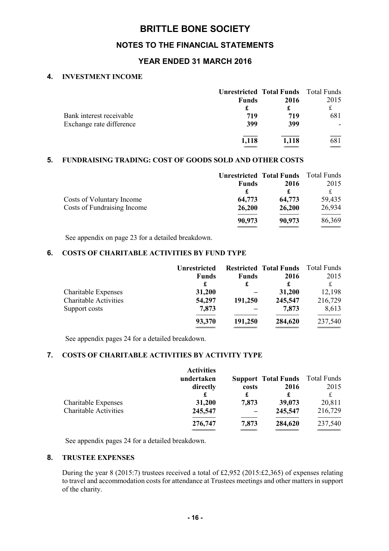### **NOTES TO THE FINANCIAL STATEMENTS**

## **YEAR ENDED 31 MARCH 2016**

### **4. INVESTMENT INCOME**

| Bank interest receivable<br>Exchange rate difference | <b>Funds</b><br>£<br>719<br>399 | <b>Unrestricted Total Funds</b> Total Funds<br>2016<br>£<br>719<br>399 | 2015<br>£<br>681 |
|------------------------------------------------------|---------------------------------|------------------------------------------------------------------------|------------------|
|                                                      | 1,118                           | 1,118                                                                  | 681              |

#### **5. FUNDRAISING TRADING: COST OF GOODS SOLD AND OTHER COSTS**

|                             |        | <b>Unrestricted Total Funds</b> | <b>Total Funds</b> |
|-----------------------------|--------|---------------------------------|--------------------|
|                             | Funds  | 2016                            | 2015               |
|                             |        | £                               |                    |
| Costs of Voluntary Income   | 64,773 | 64,773                          | 59,435             |
| Costs of Fundraising Income | 26,200 | 26,200                          | 26,934             |
|                             | 90,973 | 90,973                          | 86,369             |

See appendix on page 23 for a detailed breakdown.

### **6. COSTS OF CHARITABLE ACTIVITIES BY FUND TYPE**

|                              | Unrestricted |         | <b>Restricted Total Funds</b> | Total Funds |
|------------------------------|--------------|---------|-------------------------------|-------------|
|                              | <b>Funds</b> | Funds   | 2016                          | 2015        |
|                              | £            | £       | £                             | £           |
| <b>Charitable Expenses</b>   | 31,200       |         | 31,200                        | 12,198      |
| <b>Charitable Activities</b> | 54,297       | 191,250 | 245,547                       | 216,729     |
| Support costs                | 7,873        |         | 7,873                         | 8,613       |
|                              | 93,370       | 191,250 | 284,620                       | 237,540     |

See appendix pages 24 for a detailed breakdown.

## **7. COSTS OF CHARITABLE ACTIVITIES BY ACTIVITY TYPE**

|                              | <b>Activities</b><br>undertaken<br>directly | costs | <b>Support Total Funds</b> Total Funds<br>2016 | 2015               |
|------------------------------|---------------------------------------------|-------|------------------------------------------------|--------------------|
| <b>Charitable Expenses</b>   | 31,200                                      | 7,873 | 39,073                                         | 20,811             |
| <b>Charitable Activities</b> | 245,547<br>276,747                          | 7,873 | 245,547<br>284,620                             | 216,729<br>237,540 |

See appendix pages 24 for a detailed breakdown.

### **8. TRUSTEE EXPENSES**

During the year 8 (2015:7) trustees received a total of £2,952 (2015:£2,365) of expenses relating to travel and accommodation costs for attendance at Trustees meetings and other matters in support of the charity.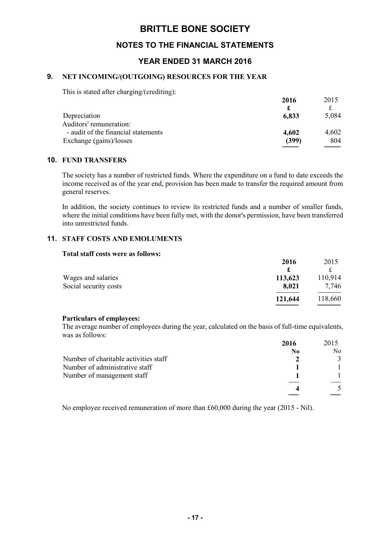### **NOTES TO THE FINANCIAL STATEMENTS**

## **YEAR ENDED 31 MARCH 2016**

### **9. NET INCOMING/(OUTGOING) RESOURCES FOR THE YEAR**

This is stated after charging/(crediting):

|                                     | 2016  | 2015  |
|-------------------------------------|-------|-------|
|                                     | £     |       |
| Depreciation                        | 6,833 | 5,084 |
| Auditors' remuneration:             |       |       |
| - audit of the financial statements | 4,602 | 4,602 |
| Exchange (gains)/losses             | (399) | 804   |
|                                     |       |       |

#### **10. FUND TRANSFERS**

The society has a number of restricted funds. Where the expenditure on a fund to date exceeds the income received as of the year end, provision has been made to transfer the required amount from general reserves.

In addition, the society continues to review its restricted funds and a number of smaller funds, where the initial conditions have been fully met, with the donor's permission, have been transferred into unrestricted funds.

### **11. STAFF COSTS AND EMOLUMENTS**

#### **Total staff costs were as follows:**

|                       | 2016    | 2015    |
|-----------------------|---------|---------|
|                       | £       |         |
| Wages and salaries    | 113,623 | 110,914 |
| Social security costs | 8,021   | 7,746   |
|                       | 121,644 | 118,660 |

### **Particulars of employees:**

The average number of employees during the year, calculated on the basis of full-time equivalents, was as follows:

|                                       | 2016 | 2015 |
|---------------------------------------|------|------|
|                                       | No   | No.  |
| Number of charitable activities staff |      |      |
| Number of administrative staff        |      |      |
| Number of management staff            |      |      |
|                                       |      |      |
|                                       |      |      |

No employee received remuneration of more than £60,000 during the year (2015 - Nil).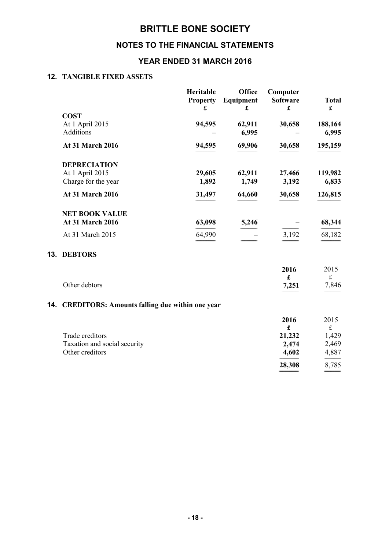## **NOTES TO THE FINANCIAL STATEMENTS**

## **YEAR ENDED 31 MARCH 2016**

## **12. TANGIBLE FIXED ASSETS**

|                                                           | Heritable<br><b>Property</b><br>£ | <b>Office</b><br>Equipment<br>£ | Computer<br><b>Software</b><br>£ | <b>Total</b><br>$\pmb{\mathfrak{L}}$ |
|-----------------------------------------------------------|-----------------------------------|---------------------------------|----------------------------------|--------------------------------------|
| <b>COST</b>                                               |                                   |                                 |                                  |                                      |
| At 1 April 2015                                           | 94,595                            | 62,911                          | 30,658                           | 188,164                              |
| <b>Additions</b>                                          |                                   | 6,995                           |                                  | 6,995                                |
| At 31 March 2016                                          | 94,595                            | 69,906                          | 30,658                           | 195,159                              |
| <b>DEPRECIATION</b>                                       |                                   |                                 |                                  |                                      |
| At 1 April 2015                                           | 29,605                            | 62,911                          | 27,466                           | 119,982                              |
| Charge for the year                                       | 1,892                             | 1,749                           | 3,192                            | 6,833                                |
| At 31 March 2016                                          | 31,497                            | 64,660                          | 30,658                           | 126,815                              |
| <b>NET BOOK VALUE</b>                                     |                                   |                                 |                                  |                                      |
| At 31 March 2016                                          | 63,098                            | 5,246                           |                                  | 68,344                               |
| At 31 March 2015                                          | 64,990                            |                                 | 3,192                            | 68,182                               |
| <b>13. DEBTORS</b>                                        |                                   |                                 |                                  |                                      |
|                                                           |                                   |                                 | 2016                             | 2015                                 |
| Other debtors                                             |                                   |                                 | $\mathbf f$<br>7,251             | $\mathbf f$<br>7,846                 |
| <b>14. CREDITORS: Amounts falling due within one year</b> |                                   |                                 |                                  |                                      |
|                                                           |                                   |                                 | 2016                             | 2015                                 |
|                                                           |                                   |                                 | £                                | $\mathbf f$                          |
| Trade creditors<br>Taxation and social security           |                                   |                                 | 21,232<br>2,474                  | 1,429<br>2,469                       |
| Other creditors                                           |                                   |                                 | 4,602                            | 4,887                                |
|                                                           |                                   |                                 | 28,308                           | 8,785                                |
|                                                           |                                   |                                 |                                  |                                      |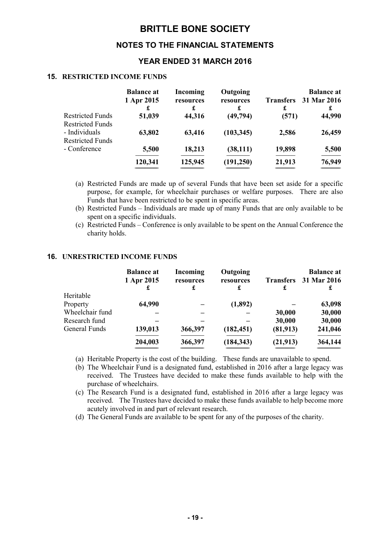### **NOTES TO THE FINANCIAL STATEMENTS**

### **YEAR ENDED 31 MARCH 2016**

### **15. RESTRICTED INCOME FUNDS**

|                                                                     | <b>Balance at</b><br>1 Apr 2015<br>£ | Incoming<br>resources<br>£ | Outgoing<br>resources<br>£ | <b>Transfers</b><br>£ | <b>Balance at</b><br>31 Mar 2016<br>£ |
|---------------------------------------------------------------------|--------------------------------------|----------------------------|----------------------------|-----------------------|---------------------------------------|
| <b>Restricted Funds</b>                                             | 51,039                               | 44,316                     | (49, 794)                  | (571)                 | 44,990                                |
| <b>Restricted Funds</b><br>- Individuals<br><b>Restricted Funds</b> | 63,802                               | 63,416                     | (103, 345)                 | 2,586                 | 26,459                                |
| - Conference                                                        | 5,500                                | 18,213                     | (38, 111)                  | 19,898                | 5,500                                 |
|                                                                     | 120,341                              | 125,945                    | (191, 250)                 | 21,913                | 76,949                                |

(a) Restricted Funds are made up of several Funds that have been set aside for a specific purpose, for example, for wheelchair purchases or welfare purposes. There are also Funds that have been restricted to be spent in specific areas.

(b) Restricted Funds – Individuals are made up of many Funds that are only available to be spent on a specific individuals.

(c) Restricted Funds – Conference is only available to be spent on the Annual Conference the charity holds.

#### **16. UNRESTRICTED INCOME FUNDS**

|                 | <b>Balance at</b><br>1 Apr 2015<br>£ | Incoming<br>resources<br>£ | Outgoing<br>resources<br>£ | <b>Transfers</b><br>£ | <b>Balance at</b><br>31 Mar 2016<br>£ |
|-----------------|--------------------------------------|----------------------------|----------------------------|-----------------------|---------------------------------------|
| Heritable       |                                      |                            |                            |                       |                                       |
| Property        | 64,990                               |                            | (1,892)                    |                       | 63,098                                |
| Wheelchair fund |                                      |                            |                            | 30,000                | 30,000                                |
| Research fund   |                                      |                            |                            | 30,000                | 30,000                                |
| General Funds   | 139,013                              | 366,397                    | (182, 451)                 | (81,913)              | 241,046                               |
|                 | 204,003                              | 366,397                    | (184, 343)                 | (21, 913)             | 364,144                               |

(a) Heritable Property is the cost of the building. These funds are unavailable to spend.

(b) The Wheelchair Fund is a designated fund, established in 2016 after a large legacy was received. The Trustees have decided to make these funds available to help with the purchase of wheelchairs.

(c) The Research Fund is a designated fund, established in 2016 after a large legacy was received. The Trustees have decided to make these funds available to help become more acutely involved in and part of relevant research.

(d) The General Funds are available to be spent for any of the purposes of the charity.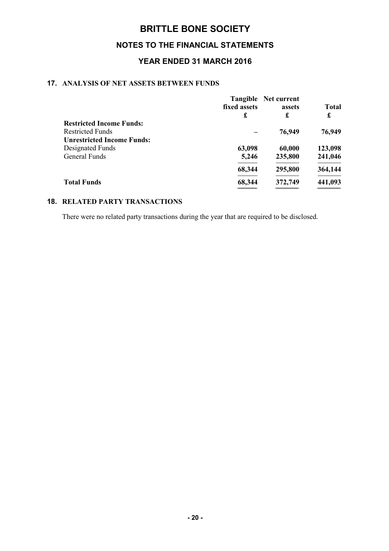## **NOTES TO THE FINANCIAL STATEMENTS**

## **YEAR ENDED 31 MARCH 2016**

## **17. ANALYSIS OF NET ASSETS BETWEEN FUNDS**

|                                   | fixed assets | Tangible Net current<br>assets | <b>Total</b> |
|-----------------------------------|--------------|--------------------------------|--------------|
|                                   | £            | £                              | £            |
| <b>Restricted Income Funds:</b>   |              |                                |              |
| <b>Restricted Funds</b>           |              | 76,949                         | 76,949       |
| <b>Unrestricted Income Funds:</b> |              |                                |              |
| Designated Funds                  | 63,098       | 60,000                         | 123,098      |
| General Funds                     | 5,246        | 235,800                        | 241,046      |
|                                   | 68,344       | 295,800                        | 364,144      |
| <b>Total Funds</b>                | 68,344       | 372,749                        | 441,093      |
|                                   |              |                                |              |

### **18. RELATED PARTY TRANSACTIONS**

There were no related party transactions during the year that are required to be disclosed.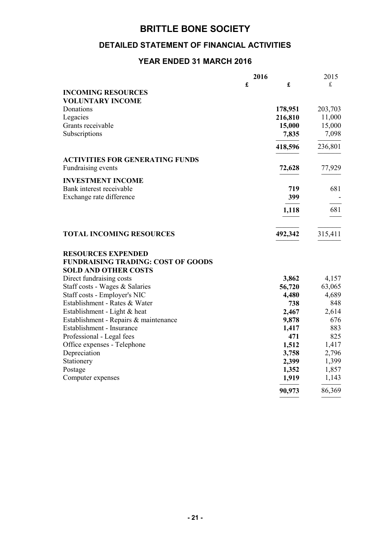## **DETAILED STATEMENT OF FINANCIAL ACTIVITIES**

|                                                                        | 2016 |         | 2015      |
|------------------------------------------------------------------------|------|---------|-----------|
|                                                                        | £    | £       | $\pounds$ |
| <b>INCOMING RESOURCES</b>                                              |      |         |           |
| <b>VOLUNTARY INCOME</b>                                                |      |         |           |
| Donations                                                              |      | 178,951 | 203,703   |
| Legacies                                                               |      | 216,810 | 11,000    |
| Grants receivable                                                      |      | 15,000  | 15,000    |
| Subscriptions                                                          |      | 7,835   | 7,098     |
|                                                                        |      | 418,596 | 236,801   |
| <b>ACTIVITIES FOR GENERATING FUNDS</b>                                 |      |         |           |
| Fundraising events                                                     |      | 72,628  | 77,929    |
| <b>INVESTMENT INCOME</b>                                               |      |         |           |
| Bank interest receivable                                               |      | 719     | 681       |
| Exchange rate difference                                               |      | 399     |           |
|                                                                        |      |         |           |
|                                                                        |      | 1,118   | 681       |
| <b>TOTAL INCOMING RESOURCES</b>                                        |      | 492,342 | 315,411   |
|                                                                        |      |         |           |
| <b>RESOURCES EXPENDED</b><br><b>FUNDRAISING TRADING: COST OF GOODS</b> |      |         |           |
| <b>SOLD AND OTHER COSTS</b>                                            |      |         |           |
| Direct fundraising costs                                               |      | 3,862   | 4,157     |
| Staff costs - Wages & Salaries                                         |      | 56,720  | 63,065    |
| Staff costs - Employer's NIC                                           |      | 4,480   | 4,689     |
| Establishment - Rates & Water                                          |      | 738     | 848       |
| Establishment - Light & heat                                           |      | 2,467   | 2,614     |
| Establishment - Repairs & maintenance                                  |      | 9,878   | 676       |
| Establishment - Insurance                                              |      | 1,417   | 883       |
| Professional - Legal fees                                              |      | 471     | 825       |
| Office expenses - Telephone                                            |      | 1,512   | 1,417     |
| Depreciation                                                           |      | 3,758   | 2,796     |
| Stationery                                                             |      | 2,399   | 1,399     |
| Postage                                                                |      | 1,352   | 1,857     |
| Computer expenses                                                      |      | 1,919   | 1,143     |
|                                                                        |      | 90,973  | 86,369    |
|                                                                        |      |         |           |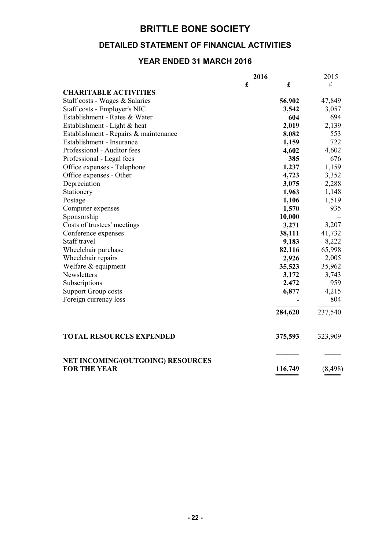## **DETAILED STATEMENT OF FINANCIAL ACTIVITIES**

|                                                                 | 2016    | 2015     |
|-----------------------------------------------------------------|---------|----------|
|                                                                 | £<br>£  | £        |
| <b>CHARITABLE ACTIVITIES</b>                                    |         |          |
| Staff costs - Wages & Salaries                                  | 56,902  | 47,849   |
| Staff costs - Employer's NIC                                    | 3,542   | 3,057    |
| Establishment - Rates & Water                                   | 604     | 694      |
| Establishment - Light & heat                                    | 2,019   | 2,139    |
| Establishment - Repairs & maintenance                           | 8,082   | 553      |
| Establishment - Insurance                                       | 1,159   | 722      |
| Professional - Auditor fees                                     | 4,602   | 4,602    |
| Professional - Legal fees                                       | 385     | 676      |
| Office expenses - Telephone                                     | 1,237   | 1,159    |
| Office expenses - Other                                         | 4,723   | 3,352    |
| Depreciation                                                    | 3,075   | 2,288    |
| Stationery                                                      | 1,963   | 1,148    |
| Postage                                                         | 1,106   | 1,519    |
| Computer expenses                                               | 1,570   | 935      |
| Sponsorship                                                     | 10,000  |          |
| Costs of trustees' meetings                                     | 3,271   | 3,207    |
| Conference expenses                                             | 38,111  | 41,732   |
| Staff travel                                                    | 9,183   | 8,222    |
| Wheelchair purchase                                             | 82,116  | 65,998   |
| Wheelchair repairs                                              | 2,926   | 2,005    |
| Welfare $&$ equipment                                           | 35,523  | 35,962   |
| <b>Newsletters</b>                                              | 3,172   | 3,743    |
| Subscriptions                                                   | 2,472   | 959      |
| <b>Support Group costs</b>                                      | 6,877   | 4,215    |
| Foreign currency loss                                           |         | 804      |
|                                                                 | 284,620 | 237,540  |
| <b>TOTAL RESOURCES EXPENDED</b>                                 | 375,593 | 323,909  |
|                                                                 |         |          |
| <b>NET INCOMING/(OUTGOING) RESOURCES</b><br><b>FOR THE YEAR</b> | 116,749 | (8, 498) |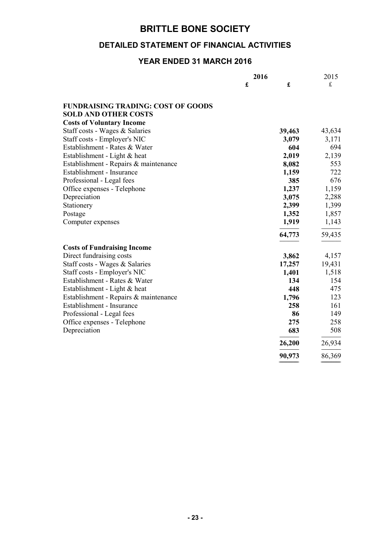## **DETAILED STATEMENT OF FINANCIAL ACTIVITIES**

|                                           | 2016 |             | 2015      |
|-------------------------------------------|------|-------------|-----------|
|                                           | £    | $\mathbf f$ | $\pounds$ |
| <b>FUNDRAISING TRADING: COST OF GOODS</b> |      |             |           |
| <b>SOLD AND OTHER COSTS</b>               |      |             |           |
| <b>Costs of Voluntary Income</b>          |      |             |           |
| Staff costs - Wages & Salaries            |      | 39,463      | 43,634    |
| Staff costs - Employer's NIC              |      | 3,079       | 3,171     |
| Establishment - Rates & Water             |      | 604         | 694       |
| Establishment - Light & heat              |      | 2,019       | 2,139     |
| Establishment - Repairs & maintenance     |      | 8,082       | 553       |
| Establishment - Insurance                 |      | 1,159       | 722       |
| Professional - Legal fees                 |      | 385         | 676       |
| Office expenses - Telephone               |      | 1,237       | 1,159     |
| Depreciation                              |      | 3,075       | 2,288     |
| Stationery                                |      | 2,399       | 1,399     |
| Postage                                   |      | 1,352       | 1,857     |
| Computer expenses                         |      | 1,919       | 1,143     |
|                                           |      | 64,773      | 59,435    |
| <b>Costs of Fundraising Income</b>        |      |             |           |
| Direct fundraising costs                  |      | 3,862       | 4,157     |
| Staff costs - Wages & Salaries            |      | 17,257      | 19,431    |
| Staff costs - Employer's NIC              |      | 1,401       | 1,518     |
| Establishment - Rates & Water             |      | 134         | 154       |
| Establishment - Light & heat              |      | 448         | 475       |
| Establishment - Repairs & maintenance     |      | 1,796       | 123       |
| Establishment - Insurance                 |      | 258         | 161       |
| Professional - Legal fees                 |      | 86          | 149       |
| Office expenses - Telephone               |      | 275         | 258       |
| Depreciation                              |      | 683         | 508       |
|                                           |      | 26,200      | 26,934    |
|                                           |      | 90,973      | 86,369    |
|                                           |      |             |           |